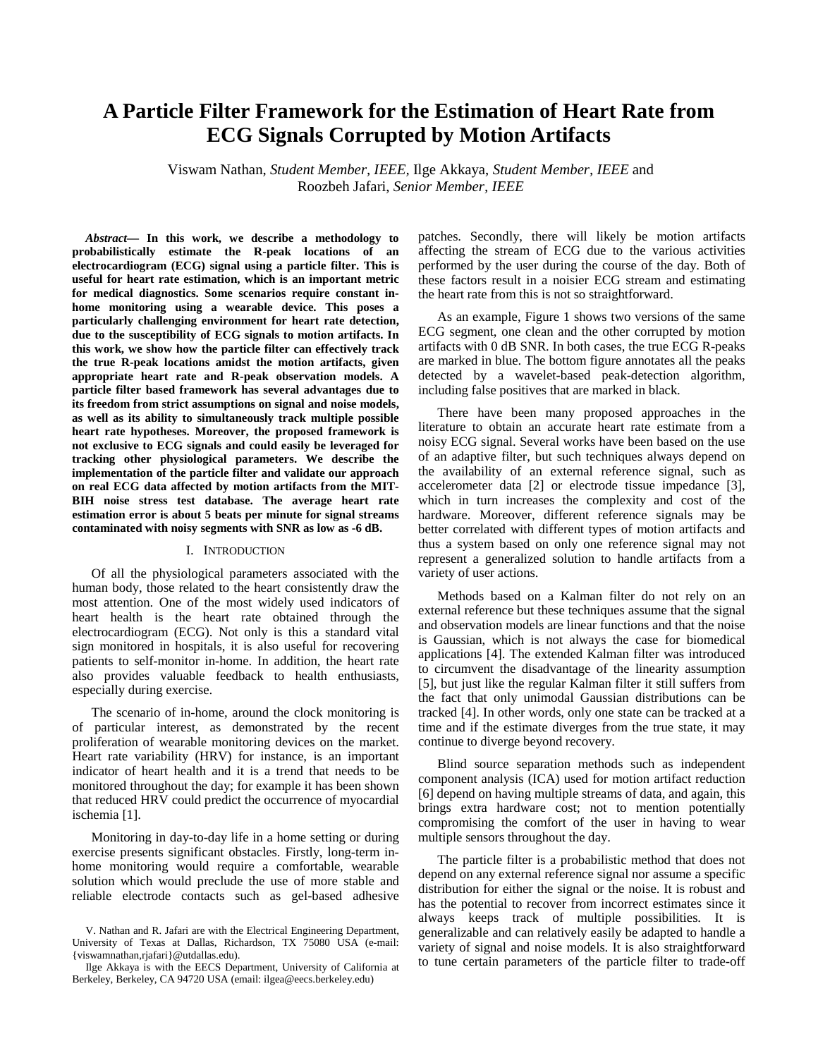# **A Particle Filter Framework for the Estimation of Heart Rate from ECG Signals Corrupted by Motion Artifacts**

Viswam Nathan, *Student Member, IEEE,* Ilge Akkaya, *Student Member, IEEE* and Roozbeh Jafari, *Senior Member, IEEE*

*Abstract***— In this work, we describe a methodology to probabilistically estimate the R-peak locations of an electrocardiogram (ECG) signal using a particle filter. This is useful for heart rate estimation, which is an important metric for medical diagnostics. Some scenarios require constant inhome monitoring using a wearable device. This poses a particularly challenging environment for heart rate detection, due to the susceptibility of ECG signals to motion artifacts. In this work, we show how the particle filter can effectively track the true R-peak locations amidst the motion artifacts, given appropriate heart rate and R-peak observation models. A particle filter based framework has several advantages due to its freedom from strict assumptions on signal and noise models, as well as its ability to simultaneously track multiple possible heart rate hypotheses. Moreover, the proposed framework is not exclusive to ECG signals and could easily be leveraged for tracking other physiological parameters. We describe the implementation of the particle filter and validate our approach on real ECG data affected by motion artifacts from the MIT-BIH noise stress test database. The average heart rate estimation error is about 5 beats per minute for signal streams contaminated with noisy segments with SNR as low as -6 dB.**

# I. INTRODUCTION

Of all the physiological parameters associated with the human body, those related to the heart consistently draw the most attention. One of the most widely used indicators of heart health is the heart rate obtained through the electrocardiogram (ECG). Not only is this a standard vital sign monitored in hospitals, it is also useful for recovering patients to self-monitor in-home. In addition, the heart rate also provides valuable feedback to health enthusiasts, especially during exercise.

The scenario of in-home, around the clock monitoring is of particular interest, as demonstrated by the recent proliferation of wearable monitoring devices on the market. Heart rate variability (HRV) for instance, is an important indicator of heart health and it is a trend that needs to be monitored throughout the day; for example it has been shown that reduced HRV could predict the occurrence of myocardial ischemia [1].

Monitoring in day-to-day life in a home setting or during exercise presents significant obstacles. Firstly, long-term inhome monitoring would require a comfortable, wearable solution which would preclude the use of more stable and reliable electrode contacts such as gel-based adhesive

patches. Secondly, there will likely be motion artifacts affecting the stream of ECG due to the various activities performed by the user during the course of the day. Both of these factors result in a noisier ECG stream and estimating the heart rate from this is not so straightforward.

As an example, Figure 1 shows two versions of the same ECG segment, one clean and the other corrupted by motion artifacts with 0 dB SNR. In both cases, the true ECG R-peaks are marked in blue. The bottom figure annotates all the peaks detected by a wavelet-based peak-detection algorithm, including false positives that are marked in black.

There have been many proposed approaches in the literature to obtain an accurate heart rate estimate from a noisy ECG signal. Several works have been based on the use of an adaptive filter, but such techniques always depend on the availability of an external reference signal, such as accelerometer data [2] or electrode tissue impedance [3], which in turn increases the complexity and cost of the hardware. Moreover, different reference signals may be better correlated with different types of motion artifacts and thus a system based on only one reference signal may not represent a generalized solution to handle artifacts from a variety of user actions.

Methods based on a Kalman filter do not rely on an external reference but these techniques assume that the signal and observation models are linear functions and that the noise is Gaussian, which is not always the case for biomedical applications [4]. The extended Kalman filter was introduced to circumvent the disadvantage of the linearity assumption [5], but just like the regular Kalman filter it still suffers from the fact that only unimodal Gaussian distributions can be tracked [4]. In other words, only one state can be tracked at a time and if the estimate diverges from the true state, it may continue to diverge beyond recovery.

Blind source separation methods such as independent component analysis (ICA) used for motion artifact reduction [6] depend on having multiple streams of data, and again, this brings extra hardware cost; not to mention potentially compromising the comfort of the user in having to wear multiple sensors throughout the day.

The particle filter is a probabilistic method that does not depend on any external reference signal nor assume a specific distribution for either the signal or the noise. It is robust and has the potential to recover from incorrect estimates since it always keeps track of multiple possibilities. It is generalizable and can relatively easily be adapted to handle a variety of signal and noise models. It is also straightforward to tune certain parameters of the particle filter to trade-off

V. Nathan and R. Jafari are with the Electrical Engineering Department, University of Texas at Dallas, Richardson, TX 75080 USA (e-mail: {viswamnathan,rjafari}@utdallas.edu).

Ilge Akkaya is with the EECS Department, University of California at Berkeley, Berkeley, CA 94720 USA (email: ilgea@eecs.berkeley.edu)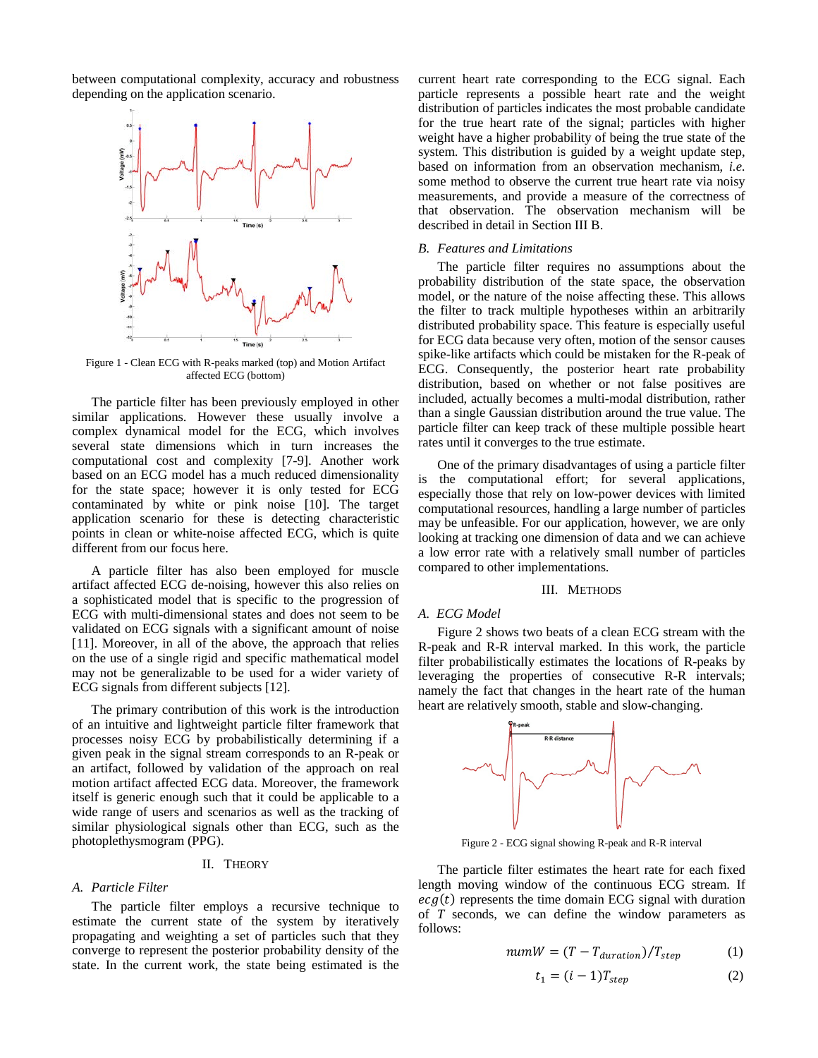between computational complexity, accuracy and robustness depending on the application scenario.



Figure 1 - Clean ECG with R-peaks marked (top) and Motion Artifact affected ECG (bottom)

The particle filter has been previously employed in other similar applications. However these usually involve a complex dynamical model for the ECG, which involves several state dimensions which in turn increases the computational cost and complexity [7-9]. Another work based on an ECG model has a much reduced dimensionality for the state space; however it is only tested for ECG contaminated by white or pink noise [10]. The target application scenario for these is detecting characteristic points in clean or white-noise affected ECG, which is quite different from our focus here.

A particle filter has also been employed for muscle artifact affected ECG de-noising, however this also relies on a sophisticated model that is specific to the progression of ECG with multi-dimensional states and does not seem to be validated on ECG signals with a significant amount of noise [11]. Moreover, in all of the above, the approach that relies on the use of a single rigid and specific mathematical model may not be generalizable to be used for a wider variety of ECG signals from different subjects [12].

The primary contribution of this work is the introduction of an intuitive and lightweight particle filter framework that processes noisy ECG by probabilistically determining if a given peak in the signal stream corresponds to an R-peak or an artifact, followed by validation of the approach on real motion artifact affected ECG data. Moreover, the framework itself is generic enough such that it could be applicable to a wide range of users and scenarios as well as the tracking of similar physiological signals other than ECG, such as the photoplethysmogram (PPG).

## II. THEORY

## *A. Particle Filter*

The particle filter employs a recursive technique to estimate the current state of the system by iteratively propagating and weighting a set of particles such that they converge to represent the posterior probability density of the state. In the current work, the state being estimated is the current heart rate corresponding to the ECG signal. Each particle represents a possible heart rate and the weight distribution of particles indicates the most probable candidate for the true heart rate of the signal; particles with higher weight have a higher probability of being the true state of the system. This distribution is guided by a weight update step, based on information from an observation mechanism, *i.e.*  some method to observe the current true heart rate via noisy measurements, and provide a measure of the correctness of that observation. The observation mechanism will be described in detail in Section III B.

# *B. Features and Limitations*

The particle filter requires no assumptions about the probability distribution of the state space, the observation model, or the nature of the noise affecting these. This allows the filter to track multiple hypotheses within an arbitrarily distributed probability space. This feature is especially useful for ECG data because very often, motion of the sensor causes spike-like artifacts which could be mistaken for the R-peak of ECG. Consequently, the posterior heart rate probability distribution, based on whether or not false positives are included, actually becomes a multi-modal distribution, rather than a single Gaussian distribution around the true value. The particle filter can keep track of these multiple possible heart rates until it converges to the true estimate.

One of the primary disadvantages of using a particle filter is the computational effort; for several applications, especially those that rely on low-power devices with limited computational resources, handling a large number of particles may be unfeasible. For our application, however, we are only looking at tracking one dimension of data and we can achieve a low error rate with a relatively small number of particles compared to other implementations.

## III. METHODS

# *A. ECG Model*

Figure 2 shows two beats of a clean ECG stream with the R-peak and R-R interval marked. In this work, the particle filter probabilistically estimates the locations of R-peaks by leveraging the properties of consecutive R-R intervals; namely the fact that changes in the heart rate of the human heart are relatively smooth, stable and slow-changing.



Figure 2 - ECG signal showing R-peak and R-R interval

The particle filter estimates the heart rate for each fixed length moving window of the continuous ECG stream. If  $ecg(t)$  represents the time domain ECG signal with duration of *T* seconds, we can define the window parameters as follows:

$$
numW = (T - T_{duration})/T_{step}
$$
 (1)

$$
t_1 = (i-1)T_{step} \tag{2}
$$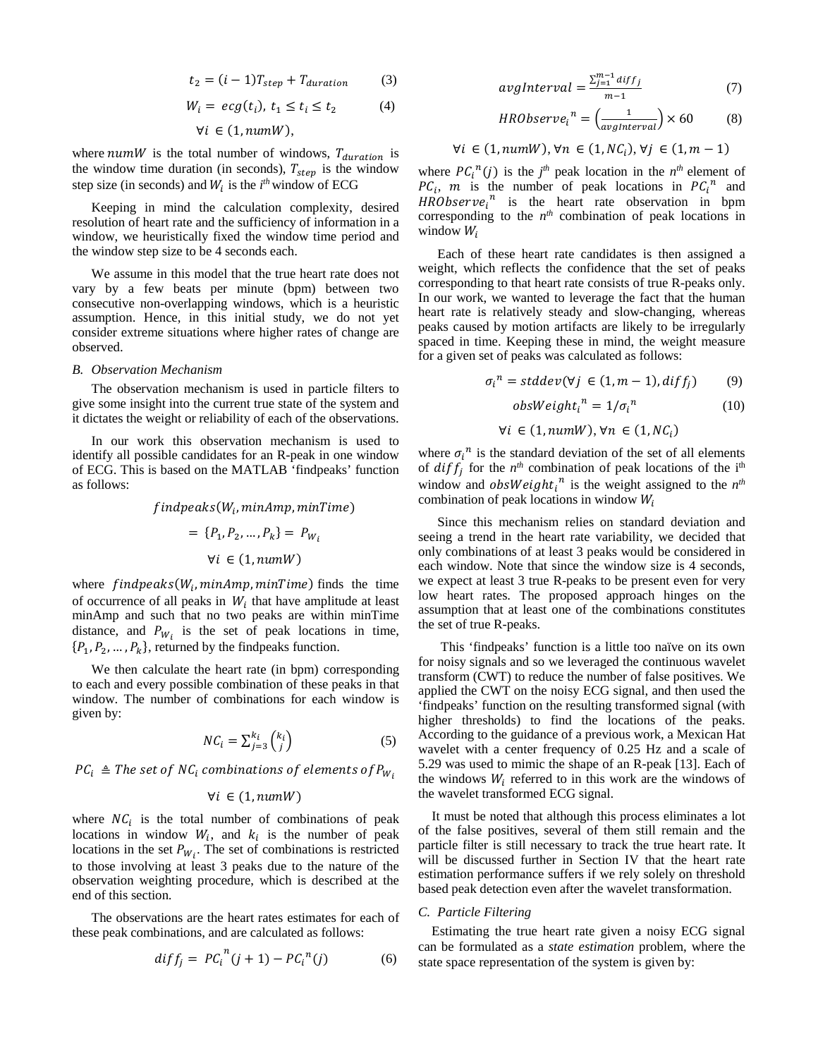$$
t_2 = (i - 1)T_{step} + T_{duration} \tag{3}
$$

$$
W_i = e c g(t_i), t_1 \le t_i \le t_2 \tag{4}
$$

 $\forall i \in (1, numW),$ 

where  $numW$  is the total number of windows,  $T_{duration}$  is the window time duration (in seconds),  $T_{step}$  is the window step size (in seconds) and  $W_i$  is the  $i^{th}$  window of ECG

Keeping in mind the calculation complexity, desired resolution of heart rate and the sufficiency of information in a window, we heuristically fixed the window time period and the window step size to be 4 seconds each.

We assume in this model that the true heart rate does not vary by a few beats per minute (bpm) between two consecutive non-overlapping windows, which is a heuristic assumption. Hence, in this initial study, we do not yet consider extreme situations where higher rates of change are observed.

#### *B. Observation Mechanism*

The observation mechanism is used in particle filters to give some insight into the current true state of the system and it dictates the weight or reliability of each of the observations.

In our work this observation mechanism is used to identify all possible candidates for an R-peak in one window of ECG. This is based on the MATLAB 'findpeaks' function as follows:

$$
findpeaks(W_i, minAmp, minTime)
$$

$$
= \{P_1, P_2, ..., P_k\} = P_{W_i}
$$

$$
\forall i \in (1, numW)
$$

where  $findpeaks(W_i, minAmp, minTime)$  finds the time of occurrence of all peaks in  $W_i$  that have amplitude at least minAmp and such that no two peaks are within minTime distance, and  $P_{W_i}$  is the set of peak locations in time,  $\{P_1, P_2, \ldots, P_k\}$ , returned by the findpeaks function.

We then calculate the heart rate (in bpm) corresponding to each and every possible combination of these peaks in that window. The number of combinations for each window is given by:

$$
NC_i = \sum_{j=3}^{k_i} \binom{k_i}{j} \tag{5}
$$

 $PC_i \triangleq The set of NC_i combinations of elements of P_{W_i}$ 

## $\forall i \in (1, numW)$

where  $NC_i$  is the total number of combinations of peak locations in window  $W_i$ , and  $k_i$  is the number of peak locations in the set  $P_{W_i}$ . The set of combinations is restricted to those involving at least 3 peaks due to the nature of the observation weighting procedure, which is described at the end of this section.

The observations are the heart rates estimates for each of these peak combinations, and are calculated as follows:

 $\boldsymbol{v}$ 

$$
diff_j = PC_i^{\text{''}}(j+1) - PC_i^{\text{''}}(j) \tag{6}
$$

$$
vglnterval = \frac{\sum_{j=1}^{m-1} diff_j}{m-1} \tag{7}
$$

$$
HRObserve_i^{n} = \left(\frac{1}{\text{argument}}\right) \times 60 \tag{8}
$$

$$
\forall i \in (1, numW), \forall n \in (1, NC_i), \forall j \in (1, m-1)
$$

where  $PC_i^{\,n}(j)$  is the *j*<sup>th</sup> peak location in the *n*<sup>th</sup> element of  $PC_i$ , m is the number of peak locations in  $PC_i^{\{n\}}$  and HRObserve<sub>i</sub><sup>n</sup> is the heart rate observation in bpm corresponding to the  $n<sup>th</sup>$  combination of peak locations in window  $W_i$ 

Each of these heart rate candidates is then assigned a weight, which reflects the confidence that the set of peaks corresponding to that heart rate consists of true R-peaks only. In our work, we wanted to leverage the fact that the human heart rate is relatively steady and slow-changing, whereas peaks caused by motion artifacts are likely to be irregularly spaced in time. Keeping these in mind, the weight measure for a given set of peaks was calculated as follows:

$$
\sigma_i^{\;n} = stddev(\forall j \in (1, m-1), diff_j) \tag{9}
$$

$$
obsWeight_i^{n} = 1/\sigma_i^{n}
$$
 (10)

$$
\forall i \in (1, numW), \forall n \in (1, NC_i)
$$

where  $\sigma_i^{\,n}$  is the standard deviation of the set of all elements of  $diff_j$  for the  $n<sup>th</sup>$  combination of peak locations of the i<sup>th</sup> window and  $obsWeight<sub>i</sub><sup>n</sup>$  is the weight assigned to the  $n<sup>th</sup>$ combination of peak locations in window  $W_i$ 

Since this mechanism relies on standard deviation and seeing a trend in the heart rate variability, we decided that only combinations of at least 3 peaks would be considered in each window. Note that since the window size is 4 seconds, we expect at least 3 true R-peaks to be present even for very low heart rates. The proposed approach hinges on the assumption that at least one of the combinations constitutes the set of true R-peaks.

This 'findpeaks' function is a little too naïve on its own for noisy signals and so we leveraged the continuous wavelet transform (CWT) to reduce the number of false positives. We applied the CWT on the noisy ECG signal, and then used the 'findpeaks' function on the resulting transformed signal (with higher thresholds) to find the locations of the peaks. According to the guidance of a previous work, a Mexican Hat wavelet with a center frequency of 0.25 Hz and a scale of 5.29 was used to mimic the shape of an R-peak [13]. Each of the windows  $W_i$  referred to in this work are the windows of the wavelet transformed ECG signal.

It must be noted that although this process eliminates a lot of the false positives, several of them still remain and the particle filter is still necessary to track the true heart rate. It will be discussed further in Section IV that the heart rate estimation performance suffers if we rely solely on threshold based peak detection even after the wavelet transformation.

# *C. Particle Filtering*

Estimating the true heart rate given a noisy ECG signal can be formulated as a *state estimation* problem, where the state space representation of the system is given by: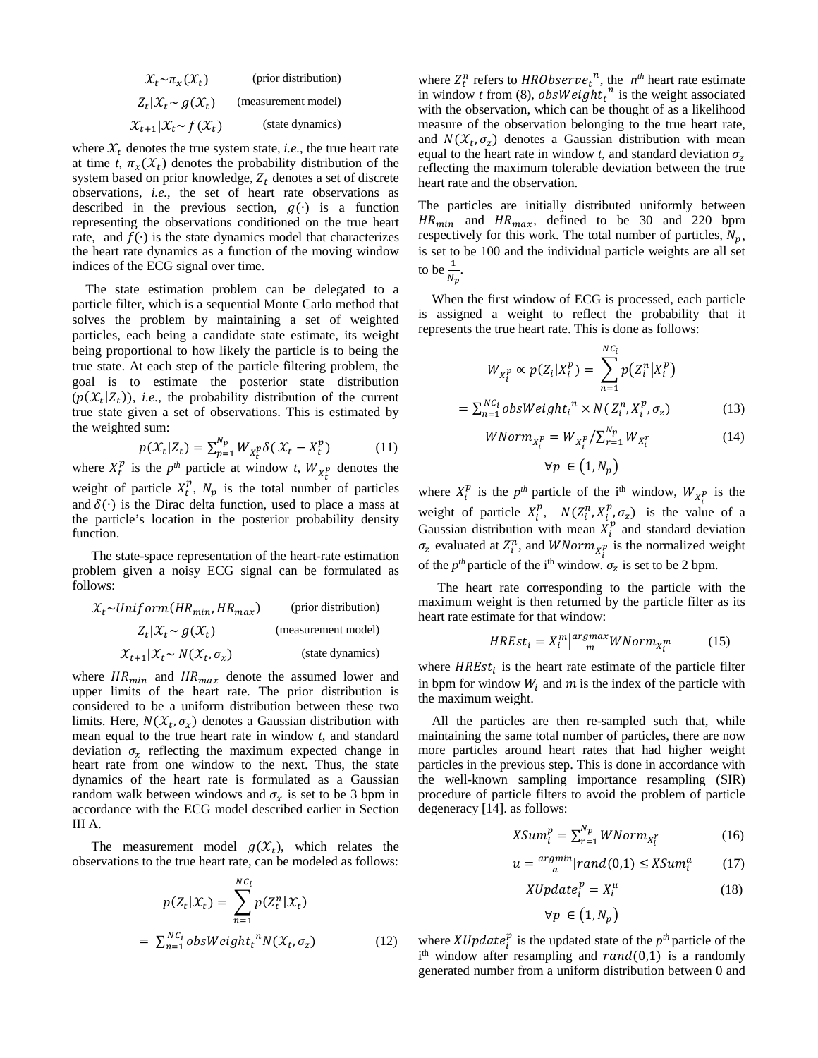$$
\mathcal{X}_t \sim \pi_{\mathcal{X}}(\mathcal{X}_t)
$$
 (prior distribution)  
\n
$$
Z_t | \mathcal{X}_t \sim g(\mathcal{X}_t)
$$
 (measurement model)  
\n
$$
\mathcal{X}_{t+1} | \mathcal{X}_t \sim f(\mathcal{X}_t)
$$
 (state dynamics)

where  $\mathcal{X}_t$  denotes the true system state, *i.e.*, the true heart rate at time *t*,  $\pi_r(\mathcal{X}_t)$  denotes the probability distribution of the system based on prior knowledge,  $Z_t$  denotes a set of discrete observations, *i.e.*, the set of heart rate observations as described in the previous section,  $q(\cdot)$  is a function representing the observations conditioned on the true heart rate, and  $f(\cdot)$  is the state dynamics model that characterizes the heart rate dynamics as a function of the moving window indices of the ECG signal over time.

The state estimation problem can be delegated to a particle filter, which is a sequential Monte Carlo method that solves the problem by maintaining a set of weighted particles, each being a candidate state estimate, its weight being proportional to how likely the particle is to being the true state. At each step of the particle filtering problem, the goal is to estimate the posterior state distribution  $(p(X_t | Z_t))$ , *i.e.*, the probability distribution of the current true state given a set of observations. This is estimated by the weighted sum:

$$
p(\mathcal{X}_t | Z_t) = \sum_{p=1}^{N_p} W_{X_t^p} \delta(\mathcal{X}_t - X_t^p)
$$
 (11)

where  $X_t^p$  is the  $p^{th}$  particle at window *t*,  $W_{X_t^p}$  denotes the weight of particle  $X_t^p$ ,  $N_p$  is the total number of particles and  $\delta(\cdot)$  is the Dirac delta function, used to place a mass at the particle's location in the posterior probability density function.

The state-space representation of the heart-rate estimation problem given a noisy ECG signal can be formulated as follows:

$$
\mathcal{X}_t \sim Uniform(HR_{min}, HR_{max})
$$
 (prior distribution)  
\n
$$
Z_t | \mathcal{X}_t \sim g(\mathcal{X}_t)
$$
 (measurement model)  
\n
$$
\mathcal{X}_{t+1} | \mathcal{X}_t \sim N(\mathcal{X}_t, \sigma_x)
$$
 (state dynamics)

where  $HR_{min}$  and  $HR_{max}$  denote the assumed lower and upper limits of the heart rate. The prior distribution is considered to be a uniform distribution between these two limits. Here,  $N(X_t, \sigma_X)$  denotes a Gaussian distribution with mean equal to the true heart rate in window *t*, and standard deviation  $\sigma_r$  reflecting the maximum expected change in heart rate from one window to the next. Thus, the state dynamics of the heart rate is formulated as a Gaussian random walk between windows and  $\sigma_x$  is set to be 3 bpm in accordance with the ECG model described earlier in Section III A.

The measurement model  $g(X_t)$ , which relates the observations to the true heart rate, can be modeled as follows:

$$
p(Z_t|\mathcal{X}_t) = \sum_{n=1}^{N C_i} p(Z_t^n|\mathcal{X}_t)
$$
  
= 
$$
\sum_{n=1}^{N C_i} obsWeight_t {^n}N(\mathcal{X}_t, \sigma_z)
$$
 (12)

where  $Z_t^n$  refers to *HRObserve*<sub>t</sub><sup>n</sup>, the  $n^{th}$  heart rate estimate in window  $t$  from (8),  $obsWeight_t^n$  is the weight associated with the observation, which can be thought of as a likelihood measure of the observation belonging to the true heart rate, and  $N(X_t, \sigma_z)$  denotes a Gaussian distribution with mean equal to the heart rate in window *t*, and standard deviation  $\sigma_z$ reflecting the maximum tolerable deviation between the true heart rate and the observation.

The particles are initially distributed uniformly between  $HR_{min}$  and  $HR_{max}$ , defined to be 30 and 220 bpm respectively for this work. The total number of particles,  $N_p$ , is set to be 100 and the individual particle weights are all set to be  $\frac{1}{N_p}$ .

When the first window of ECG is processed, each particle is assigned a weight to reflect the probability that it represents the true heart rate. This is done as follows:

$$
W_{X_i^p} \propto p(Z_i|X_i^p) = \sum_{n=1}^{N C_i} p(Z_i^n|X_i^p)
$$

$$
= \sum_{n=1}^{N C_i} obsWeight_i^n \times N(Z_i^n, X_i^p, \sigma_z)
$$
(13)

$$
WNorm_{X_i^p} = W_{X_i^p} / \sum_{r=1}^{N_p} W_{X_i^r}
$$
 (14)

$$
\forall p \in (1, N_p)
$$

where  $X_i^p$  is the *p<sup>th</sup>* particle of the i<sup>th</sup> window,  $W_{X_i^p}$  is the weight of particle  $X_i^p$ ,  $N(Z_i^n, X_i^p, \sigma_z)$  is the value of a Gaussian distribution with mean  $X_i^p$  and standard deviation  $\sigma_z$  evaluated at  $Z_i^n$ , and  $WNorm_{X_i^p}$  is the normalized weight of the  $p^{th}$  particle of the i<sup>th</sup> window.  $\sigma_z$  is set to be 2 bpm.

The heart rate corresponding to the particle with the maximum weight is then returned by the particle filter as its heart rate estimate for that window:

$$
HRESt_i = X_i^m \Big| \, \substack{\text{argmax}}{m} \, \text{W} \, \text{Norm}_{X_i^m} \tag{15}
$$

where  $HREF_{i}$  is the heart rate estimate of the particle filter in bpm for window  $W_i$  and  $m$  is the index of the particle with the maximum weight.

All the particles are then re-sampled such that, while maintaining the same total number of particles, there are now more particles around heart rates that had higher weight particles in the previous step. This is done in accordance with the well-known sampling importance resampling (SIR) procedure of particle filters to avoid the problem of particle degeneracy [14]. as follows:

$$
XSum_i^p = \sum_{r=1}^{N_p} WNorm_{X_i^r}
$$
 (16)

$$
u = \frac{argmin}{a}|rand(0,1) \leq XSum_i^a \tag{17}
$$

$$
XUpdate_i^p = X_i^u \tag{18}
$$

$$
\forall p \in (1, N_p)
$$

where  $XUpdate_i^p$  is the updated state of the  $p^{th}$  particle of the  $i<sup>th</sup>$  window after resampling and  $rand(0,1)$  is a randomly generated number from a uniform distribution between 0 and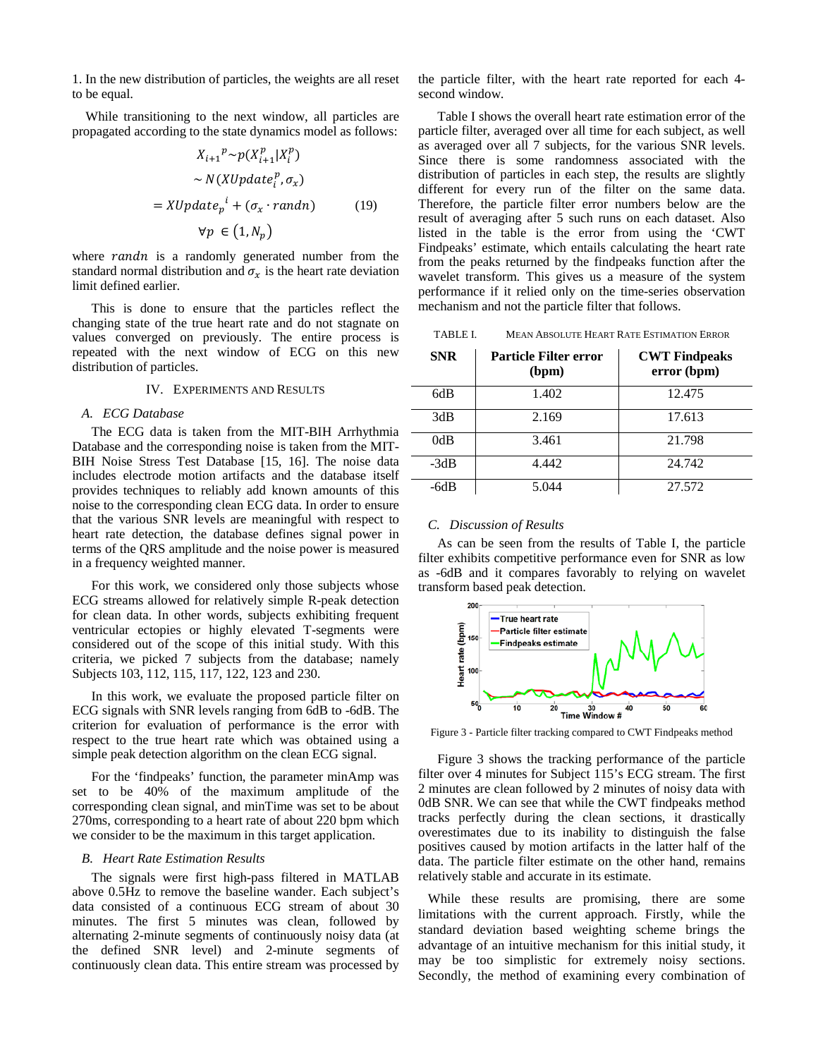1. In the new distribution of particles, the weights are all reset to be equal.

While transitioning to the next window, all particles are propagated according to the state dynamics model as follows:

$$
X_{i+1}^{p} \sim p(X_{i+1}^{p}|X_{i}^{p})
$$
  
\n
$$
\sim N(XUpdate_{i}^{p}, \sigma_{x})
$$
  
\n
$$
= XUpdate_{p}^{i} + (\sigma_{x} \cdot randn)
$$
 (19)  
\n
$$
\forall p \in (1, N_{p})
$$

where randn is a randomly generated number from the standard normal distribution and  $\sigma_x$  is the heart rate deviation limit defined earlier.

This is done to ensure that the particles reflect the changing state of the true heart rate and do not stagnate on values converged on previously. The entire process is repeated with the next window of ECG on this new distribution of particles.

# IV. EXPERIMENTS AND RESULTS

## *A. ECG Database*

The ECG data is taken from the MIT-BIH Arrhythmia Database and the corresponding noise is taken from the MIT-BIH Noise Stress Test Database [15, 16]. The noise data includes electrode motion artifacts and the database itself provides techniques to reliably add known amounts of this noise to the corresponding clean ECG data. In order to ensure that the various SNR levels are meaningful with respect to heart rate detection, the database defines signal power in terms of the QRS amplitude and the noise power is measured in a frequency weighted manner.

For this work, we considered only those subjects whose ECG streams allowed for relatively simple R-peak detection for clean data. In other words, subjects exhibiting frequent ventricular ectopies or highly elevated T-segments were considered out of the scope of this initial study. With this criteria, we picked 7 subjects from the database; namely Subjects 103, 112, 115, 117, 122, 123 and 230.

In this work, we evaluate the proposed particle filter on ECG signals with SNR levels ranging from 6dB to -6dB. The criterion for evaluation of performance is the error with respect to the true heart rate which was obtained using a simple peak detection algorithm on the clean ECG signal.

For the 'findpeaks' function, the parameter minAmp was set to be 40% of the maximum amplitude of the corresponding clean signal, and minTime was set to be about 270ms, corresponding to a heart rate of about 220 bpm which we consider to be the maximum in this target application.

# *B. Heart Rate Estimation Results*

The signals were first high-pass filtered in MATLAB above 0.5Hz to remove the baseline wander. Each subject's data consisted of a continuous ECG stream of about 30 minutes. The first 5 minutes was clean, followed by alternating 2-minute segments of continuously noisy data (at the defined SNR level) and 2-minute segments of continuously clean data. This entire stream was processed by

the particle filter, with the heart rate reported for each 4 second window.

Table I shows the overall heart rate estimation error of the particle filter, averaged over all time for each subject, as well as averaged over all 7 subjects, for the various SNR levels. Since there is some randomness associated with the distribution of particles in each step, the results are slightly different for every run of the filter on the same data. Therefore, the particle filter error numbers below are the result of averaging after 5 such runs on each dataset. Also listed in the table is the error from using the 'CWT Findpeaks' estimate, which entails calculating the heart rate from the peaks returned by the findpeaks function after the wavelet transform. This gives us a measure of the system performance if it relied only on the time-series observation mechanism and not the particle filter that follows.

TABLE I. MEAN ABSOLUTE HEART RATE ESTIMATION ERROR

| <b>SNR</b> | <b>Particle Filter error</b><br>(bpm) | <b>CWT Findpeaks</b><br>error (bpm) |
|------------|---------------------------------------|-------------------------------------|
| 6dB        | 1.402                                 | 12.475                              |
| 3dB        | 2.169                                 | 17.613                              |
| 0dB        | 3.461                                 | 21.798                              |
| $-3dB$     | 4.442                                 | 24.742                              |
| -64R       | 5 044                                 | 27.572                              |

#### *C. Discussion of Results*

As can be seen from the results of Table I, the particle filter exhibits competitive performance even for SNR as low as -6dB and it compares favorably to relying on wavelet transform based peak detection.



Figure 3 - Particle filter tracking compared to CWT Findpeaks method

Figure 3 shows the tracking performance of the particle filter over 4 minutes for Subject 115's ECG stream. The first 2 minutes are clean followed by 2 minutes of noisy data with 0dB SNR. We can see that while the CWT findpeaks method tracks perfectly during the clean sections, it drastically overestimates due to its inability to distinguish the false positives caused by motion artifacts in the latter half of the data. The particle filter estimate on the other hand, remains relatively stable and accurate in its estimate.

While these results are promising, there are some limitations with the current approach. Firstly, while the standard deviation based weighting scheme brings the advantage of an intuitive mechanism for this initial study, it may be too simplistic for extremely noisy sections. Secondly, the method of examining every combination of